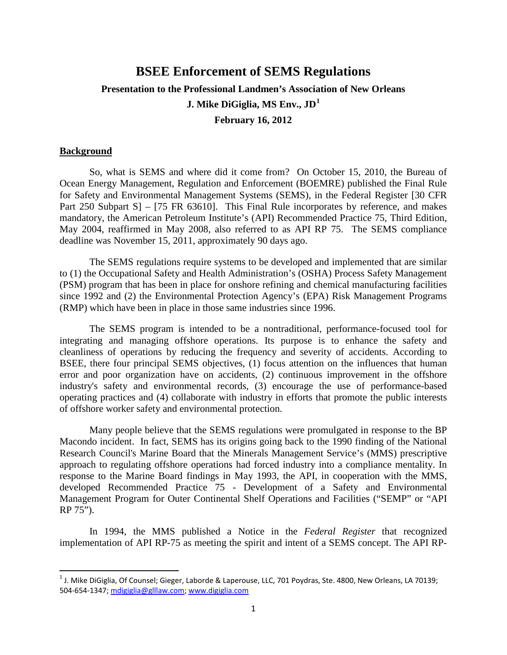# **BSEE Enforcement of SEMS Regulations Presentation to the Professional Landmen's Association of New Orleans J. Mike DiGiglia, MS Env., JD[1](#page-0-0) February 16, 2012**

# **Background**

So, what is SEMS and where did it come from? On October 15, 2010, the Bureau of Ocean Energy Management, Regulation and Enforcement (BOEMRE) published the Final Rule for Safety and Environmental Management Systems (SEMS), in the Federal Register [30 CFR Part 250 Subpart S<sub>1</sub> – [75 FR 63610]. This Final Rule incorporates by reference, and makes mandatory, the American Petroleum Institute's (API) Recommended Practice 75, Third Edition, May 2004, reaffirmed in May 2008, also referred to as API RP 75. The SEMS compliance deadline was November 15, 2011, approximately 90 days ago.

The SEMS regulations require systems to be developed and implemented that are similar to (1) the Occupational Safety and Health Administration's (OSHA) Process Safety Management (PSM) program that has been in place for onshore refining and chemical manufacturing facilities since 1992 and (2) the Environmental Protection Agency's (EPA) Risk Management Programs (RMP) which have been in place in those same industries since 1996.

The SEMS program is intended to be a nontraditional, performance-focused tool for integrating and managing offshore operations. Its purpose is to enhance the safety and cleanliness of operations by reducing the frequency and severity of accidents. According to BSEE, there four principal SEMS objectives, (1) focus attention on the influences that human error and poor organization have on accidents, (2) continuous improvement in the offshore industry's safety and environmental records, (3) encourage the use of performance-based operating practices and (4) collaborate with industry in efforts that promote the public interests of offshore worker safety and environmental protection.

Many people believe that the SEMS regulations were promulgated in response to the BP Macondo incident. In fact, SEMS has its origins going back to the 1990 finding of the National Research Council's Marine Board that the Minerals Management Service's (MMS) prescriptive approach to regulating offshore operations had forced industry into a compliance mentality. In response to the Marine Board findings in May 1993, the API, in cooperation with the MMS, developed Recommended Practice 75 - Development of a Safety and Environmental Management Program for Outer Continental Shelf Operations and Facilities ("SEMP" or "API RP 75").

In 1994, the MMS published a Notice in the *Federal Register* that recognized implementation of API RP-75 as meeting the spirit and intent of a SEMS concept. The API RP-

<span id="page-0-0"></span> $1$  J. Mike DiGiglia, Of Counsel; Gieger, Laborde & Laperouse, LLC, 701 Poydras, Ste. 4800, New Orleans, LA 70139; 504-654-1347[; mdigiglia@glllaw.com;](mailto:mdigiglia@glllaw.com) [www.digiglia.com](http://www.digiglia.com/)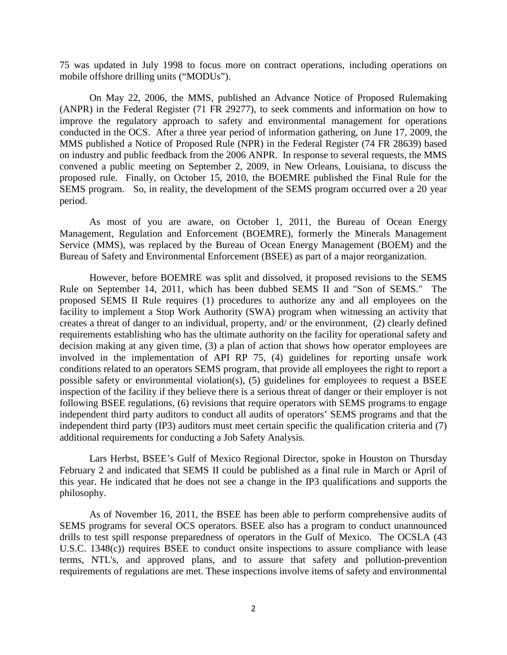75 was updated in July 1998 to focus more on contract operations, including operations on mobile offshore drilling units ("MODUs").

On May 22, 2006, the MMS, published an Advance Notice of Proposed Rulemaking (ANPR) in the Federal Register (71 FR 29277), to seek comments and information on how to improve the regulatory approach to safety and environmental management for operations conducted in the OCS. After a three year period of information gathering, on June 17, 2009, the MMS published a Notice of Proposed Rule (NPR) in the Federal Register (74 FR 28639) based on industry and public feedback from the 2006 ANPR. In response to several requests, the MMS convened a public meeting on September 2, 2009, in New Orleans, Louisiana, to discuss the proposed rule. Finally, on October 15, 2010, the BOEMRE published the Final Rule for the SEMS program. So, in reality, the development of the SEMS program occurred over a 20 year period.

As most of you are aware, on October 1, 2011, the Bureau of Ocean Energy Management, Regulation and Enforcement (BOEMRE), formerly the Minerals Management Service (MMS), was replaced by the Bureau of Ocean Energy Management (BOEM) and the Bureau of Safety and Environmental Enforcement (BSEE) as part of a major reorganization.

However, before BOEMRE was split and dissolved, it proposed revisions to the SEMS Rule on September 14, 2011, which has been dubbed SEMS II and "Son of SEMS." The proposed SEMS II Rule requires (1) procedures to authorize any and all employees on the facility to implement a Stop Work Authority (SWA) program when witnessing an activity that creates a threat of danger to an individual, property, and/ or the environment, (2) clearly defined requirements establishing who has the ultimate authority on the facility for operational safety and decision making at any given time, (3) a plan of action that shows how operator employees are involved in the implementation of API RP 75, (4) guidelines for reporting unsafe work conditions related to an operators SEMS program, that provide all employees the right to report a possible safety or environmental violation(s), (5) guidelines for employees to request a BSEE inspection of the facility if they believe there is a serious threat of danger or their employer is not following BSEE regulations, (6) revisions that require operators with SEMS programs to engage independent third party auditors to conduct all audits of operators' SEMS programs and that the independent third party (IP3) auditors must meet certain specific the qualification criteria and (7) additional requirements for conducting a Job Safety Analysis.

Lars Herbst, BSEE's Gulf of Mexico Regional Director, spoke in Houston on Thursday February 2 and indicated that SEMS II could be published as a final rule in March or April of this year. He indicated that he does not see a change in the IP3 qualifications and supports the philosophy.

As of November 16, 2011, the BSEE has been able to perform comprehensive audits of SEMS programs for several OCS operators. BSEE also has a program to conduct unannounced drills to test spill response preparedness of operators in the Gulf of Mexico. The OCSLA (43 U.S.C. 1348(c)) requires BSEE to conduct onsite inspections to assure compliance with lease terms, NTL's, and approved plans, and to assure that safety and pollution-prevention requirements of regulations are met. These inspections involve items of safety and environmental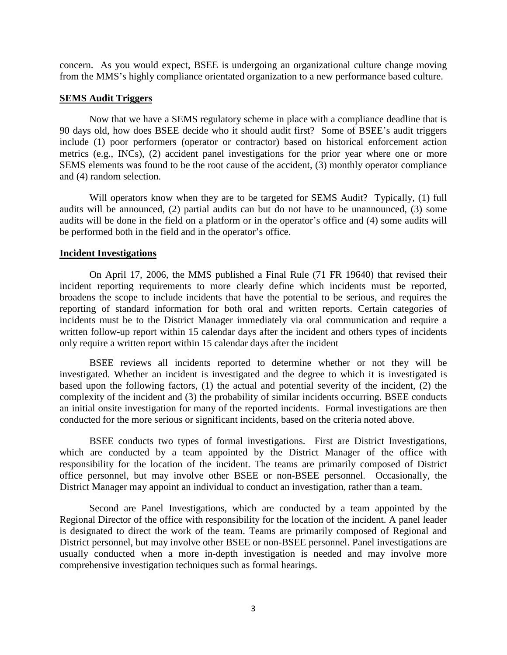concern. As you would expect, BSEE is undergoing an organizational culture change moving from the MMS's highly compliance orientated organization to a new performance based culture.

## **SEMS Audit Triggers**

Now that we have a SEMS regulatory scheme in place with a compliance deadline that is 90 days old, how does BSEE decide who it should audit first? Some of BSEE's audit triggers include (1) poor performers (operator or contractor) based on historical enforcement action metrics (e.g., INCs), (2) accident panel investigations for the prior year where one or more SEMS elements was found to be the root cause of the accident, (3) monthly operator compliance and (4) random selection.

Will operators know when they are to be targeted for SEMS Audit? Typically, (1) full audits will be announced, (2) partial audits can but do not have to be unannounced, (3) some audits will be done in the field on a platform or in the operator's office and (4) some audits will be performed both in the field and in the operator's office.

## **Incident Investigations**

On April 17, 2006, the MMS published a Final Rule (71 FR 19640) that revised their incident reporting requirements to more clearly define which incidents must be reported, broadens the scope to include incidents that have the potential to be serious, and requires the reporting of standard information for both oral and written reports. Certain categories of incidents must be to the District Manager immediately via oral communication and require a written follow-up report within 15 calendar days after the incident and others types of incidents only require a written report within 15 calendar days after the incident

BSEE reviews all incidents reported to determine whether or not they will be investigated. Whether an incident is investigated and the degree to which it is investigated is based upon the following factors, (1) the actual and potential severity of the incident, (2) the complexity of the incident and (3) the probability of similar incidents occurring. BSEE conducts an initial onsite investigation for many of the reported incidents. Formal investigations are then conducted for the more serious or significant incidents, based on the criteria noted above.

BSEE conducts two types of formal investigations. First are [District Investigations,](http://www.bsee.gov/Inspection-and-Enforcement/Accidents-and-Incidents/District-Investigation-Reports.aspx) which are conducted by a team appointed by the District Manager of the office with responsibility for the location of the incident. The teams are primarily composed of District office personnel, but may involve other BSEE or non-BSEE personnel. Occasionally, the District Manager may appoint an individual to conduct an investigation, rather than a team.

[Second are Panel Investigations,](http://www.bsee.gov/Inspection-and-Enforcement/Accidents-and-Incidents/Panel-Investigation-Reports/Panel-Investigation-Reports.aspx) which are conducted by a team appointed by the Regional Director of the office with responsibility for the location of the incident. A panel leader is designated to direct the work of the team. Teams are primarily composed of Regional and District personnel, but may involve other BSEE or non-BSEE personnel. Panel investigations are usually conducted when a more in-depth investigation is needed and may involve more comprehensive investigation techniques such as formal hearings.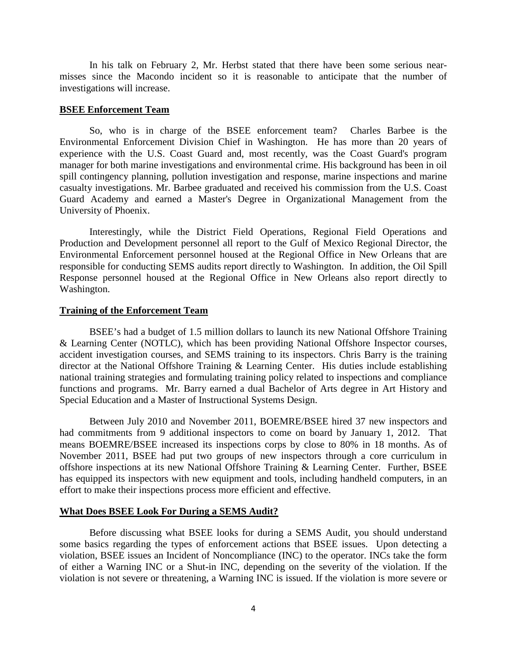In his talk on February 2, Mr. Herbst stated that there have been some serious nearmisses since the Macondo incident so it is reasonable to anticipate that the number of investigations will increase.

## **BSEE Enforcement Team**

So, who is in charge of the BSEE enforcement team? Charles Barbee is the Environmental Enforcement Division Chief in Washington. He has more than 20 years of experience with the U.S. Coast Guard and, most recently, was the Coast Guard's program manager for both marine investigations and environmental crime. His background has been in oil spill contingency planning, pollution investigation and response, marine inspections and marine casualty investigations. Mr. Barbee graduated and received his commission from the U.S. Coast Guard Academy and earned a Master's Degree in Organizational Management from the University of Phoenix.

Interestingly, while the District Field Operations, Regional Field Operations and Production and Development personnel all report to the Gulf of Mexico Regional Director, the Environmental Enforcement personnel housed at the Regional Office in New Orleans that are responsible for conducting SEMS audits report directly to Washington. In addition, the Oil Spill Response personnel housed at the Regional Office in New Orleans also report directly to Washington.

## **Training of the Enforcement Team**

BSEE's had a budget of 1.5 million dollars to launch its new National Offshore Training & Learning Center (NOTLC), which has been providing National Offshore Inspector courses, accident investigation courses, and SEMS training to its inspectors. Chris Barry is the training director at the National Offshore Training & Learning Center. His duties include establishing national training strategies and formulating training policy related to inspections and compliance functions and programs. Mr. Barry earned a dual Bachelor of Arts degree in Art History and Special Education and a Master of Instructional Systems Design.

Between July 2010 and November 2011, BOEMRE/BSEE hired 37 new inspectors and had commitments from 9 additional inspectors to come on board by January 1, 2012. That means BOEMRE/BSEE increased its inspections corps by close to 80% in 18 months. As of November 2011, BSEE had put two groups of new inspectors through a core curriculum in offshore inspections at its new National Offshore Training & Learning Center. Further, BSEE has equipped its inspectors with new equipment and tools, including handheld computers, in an effort to make their inspections process more efficient and effective.

## **What Does BSEE Look For During a SEMS Audit?**

Before discussing what BSEE looks for during a SEMS Audit, you should understand some basics regarding the types of enforcement actions that BSEE issues. Upon detecting a violation, BSEE issues an Incident of Noncompliance (INC) to the operator. INCs take the form of either a Warning INC or a Shut-in INC, depending on the severity of the violation. If the violation is not severe or threatening, a Warning INC is issued. If the violation is more severe or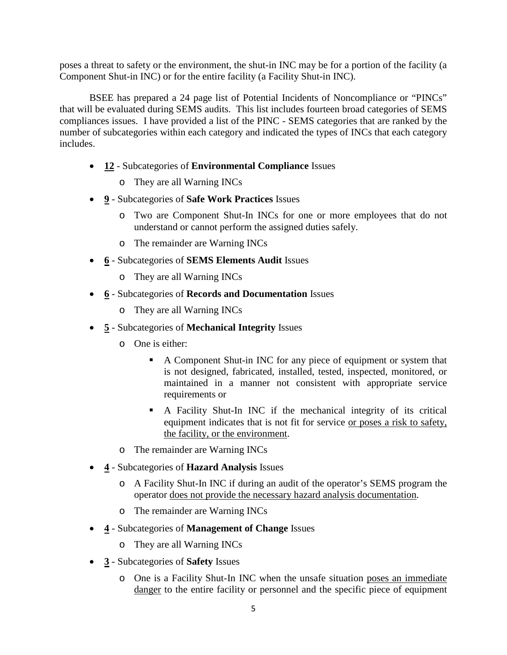poses a threat to safety or the environment, the shut-in INC may be for a portion of the facility (a Component Shut-in INC) or for the entire facility (a Facility Shut-in INC).

BSEE has prepared a 24 page list of Potential Incidents of Noncompliance or "PINCs" that will be evaluated during SEMS audits. This list includes fourteen broad categories of SEMS compliances issues. I have provided a list of the PINC - SEMS categories that are ranked by the number of subcategories within each category and indicated the types of INCs that each category includes.

- **12** Subcategories of **Environmental Compliance** Issues
	- o They are all Warning INCs
- **9** Subcategories of **Safe Work Practices** Issues
	- o Two are Component Shut-In INCs for one or more employees that do not understand or cannot perform the assigned duties safely.
	- o The remainder are Warning INCs
- **6** Subcategories of **SEMS Elements Audit** Issues
	- o They are all Warning INCs
- **6** Subcategories of **Records and Documentation** Issues
	- o They are all Warning INCs
- **5** Subcategories of **Mechanical Integrity** Issues
	- o One is either:
		- A Component Shut-in INC for any piece of equipment or system that is not designed, fabricated, installed, tested, inspected, monitored, or maintained in a manner not consistent with appropriate service requirements or
		- A Facility Shut-In INC if the mechanical integrity of its critical equipment indicates that is not fit for service or poses a risk to safety, the facility, or the environment.
	- o The remainder are Warning INCs
- **4** Subcategories of **Hazard Analysis** Issues
	- o A Facility Shut-In INC if during an audit of the operator's SEMS program the operator does not provide the necessary hazard analysis documentation.
	- o The remainder are Warning INCs
- **4** Subcategories of **Management of Change** Issues
	- o They are all Warning INCs
- **3** Subcategories of **Safety** Issues
	- o One is a Facility Shut-In INC when the unsafe situation poses an immediate danger to the entire facility or personnel and the specific piece of equipment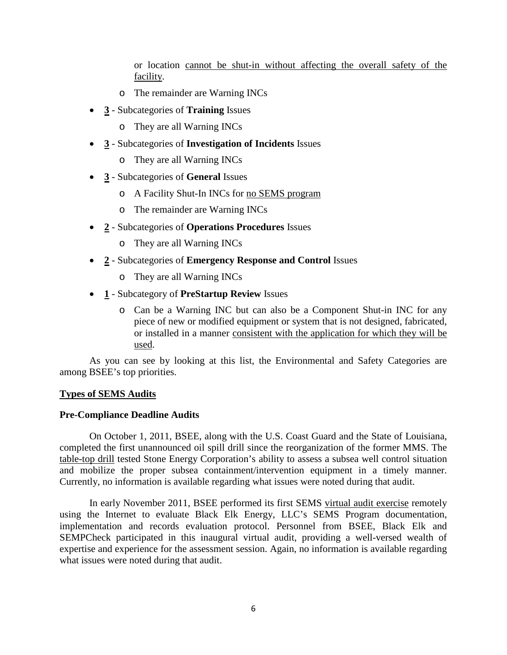or location cannot be shut-in without affecting the overall safety of the facility.

- o The remainder are Warning INCs
- **3** Subcategories of **Training** Issues
	- o They are all Warning INCs
- **3** Subcategories of **Investigation of Incidents** Issues
	- o They are all Warning INCs
- **3** Subcategories of **General** Issues
	- o A Facility Shut-In INCs for no SEMS program
	- o The remainder are Warning INCs
- **2** Subcategories of **Operations Procedures** Issues
	- o They are all Warning INCs
- **2** Subcategories of **Emergency Response and Control** Issues
	- o They are all Warning INCs
- **1** Subcategory of **PreStartup Review** Issues
	- o Can be a Warning INC but can also be a Component Shut-in INC for any piece of new or modified equipment or system that is not designed, fabricated, or installed in a manner consistent with the application for which they will be used.

As you can see by looking at this list, the Environmental and Safety Categories are among BSEE's top priorities.

# **Types of SEMS Audits**

# **Pre-Compliance Deadline Audits**

On October 1, 2011, BSEE, along with the U.S. Coast Guard and the State of Louisiana, completed the first unannounced oil spill drill since the reorganization of the former MMS. The table-top drill tested Stone Energy Corporation's ability to assess a subsea well control situation and mobilize the proper subsea containment/intervention equipment in a timely manner. Currently, no information is available regarding what issues were noted during that audit.

In early November 2011, BSEE performed its first SEMS virtual audit exercise remotely using the Internet to evaluate Black Elk Energy, LLC's SEMS Program documentation, implementation and records evaluation protocol. Personnel from BSEE, Black Elk and SEMPCheck participated in this inaugural virtual audit, providing a well-versed wealth of expertise and experience for the assessment session. Again, no information is available regarding what issues were noted during that audit.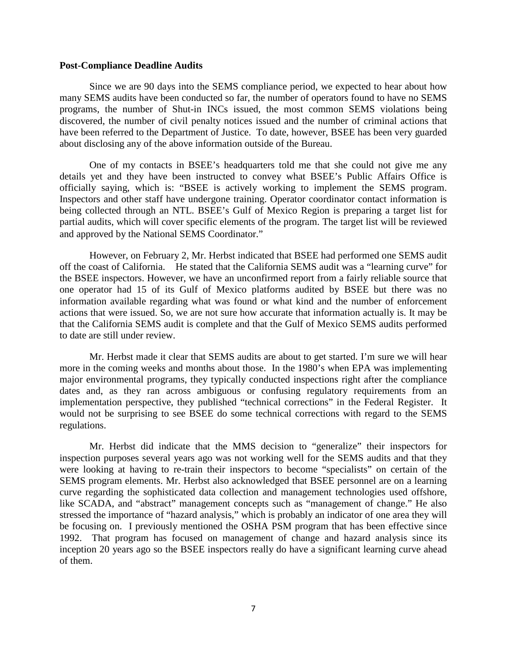#### **Post-Compliance Deadline Audits**

Since we are 90 days into the SEMS compliance period, we expected to hear about how many SEMS audits have been conducted so far, the number of operators found to have no SEMS programs, the number of Shut-in INCs issued, the most common SEMS violations being discovered, the number of civil penalty notices issued and the number of criminal actions that have been referred to the Department of Justice. To date, however, BSEE has been very guarded about disclosing any of the above information outside of the Bureau.

One of my contacts in BSEE's headquarters told me that she could not give me any details yet and they have been instructed to convey what BSEE's Public Affairs Office is officially saying, which is: "BSEE is actively working to implement the SEMS program. Inspectors and other staff have undergone training. Operator coordinator contact information is being collected through an NTL. BSEE's Gulf of Mexico Region is preparing a target list for partial audits, which will cover specific elements of the program. The target list will be reviewed and approved by the National SEMS Coordinator."

However, on February 2, Mr. Herbst indicated that BSEE had performed one SEMS audit off the coast of California. He stated that the California SEMS audit was a "learning curve" for the BSEE inspectors. However, we have an unconfirmed report from a fairly reliable source that one operator had 15 of its Gulf of Mexico platforms audited by BSEE but there was no information available regarding what was found or what kind and the number of enforcement actions that were issued. So, we are not sure how accurate that information actually is. It may be that the California SEMS audit is complete and that the Gulf of Mexico SEMS audits performed to date are still under review.

Mr. Herbst made it clear that SEMS audits are about to get started. I'm sure we will hear more in the coming weeks and months about those. In the 1980's when EPA was implementing major environmental programs, they typically conducted inspections right after the compliance dates and, as they ran across ambiguous or confusing regulatory requirements from an implementation perspective, they published "technical corrections" in the Federal Register. It would not be surprising to see BSEE do some technical corrections with regard to the SEMS regulations.

Mr. Herbst did indicate that the MMS decision to "generalize" their inspectors for inspection purposes several years ago was not working well for the SEMS audits and that they were looking at having to re-train their inspectors to become "specialists" on certain of the SEMS program elements. Mr. Herbst also acknowledged that BSEE personnel are on a learning curve regarding the sophisticated data collection and management technologies used offshore, like SCADA, and "abstract" management concepts such as "management of change." He also stressed the importance of "hazard analysis," which is probably an indicator of one area they will be focusing on. I previously mentioned the OSHA PSM program that has been effective since 1992. That program has focused on management of change and hazard analysis since its inception 20 years ago so the BSEE inspectors really do have a significant learning curve ahead of them.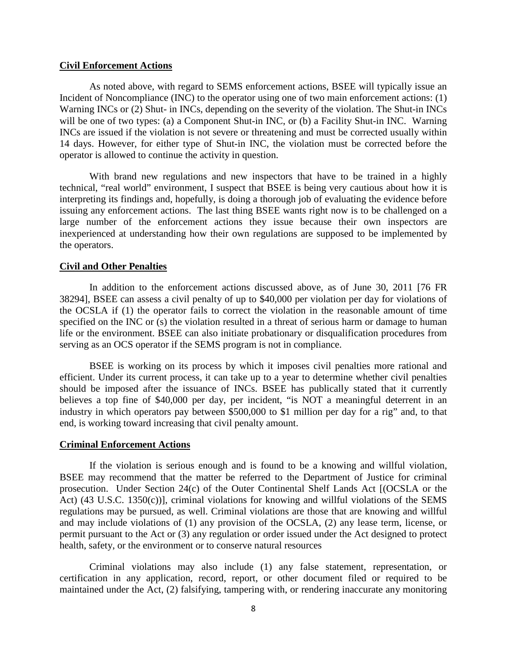## **Civil Enforcement Actions**

As noted above, with regard to SEMS enforcement actions, BSEE will typically issue an Incident of Noncompliance (INC) to the operator using one of two main enforcement actions: (1) Warning INCs or (2) Shut- in INCs, depending on the severity of the violation. The Shut-in INCs will be one of two types: (a) a Component Shut-in INC, or (b) a Facility Shut-in INC. Warning INCs are issued if the violation is not severe or threatening and must be corrected usually within 14 days. However, for either type of Shut-in INC, the violation must be corrected before the operator is allowed to continue the activity in question.

With brand new regulations and new inspectors that have to be trained in a highly technical, "real world" environment, I suspect that BSEE is being very cautious about how it is interpreting its findings and, hopefully, is doing a thorough job of evaluating the evidence before issuing any enforcement actions. The last thing BSEE wants right now is to be challenged on a large number of the enforcement actions they issue because their own inspectors are inexperienced at understanding how their own regulations are supposed to be implemented by the operators.

# **Civil and Other Penalties**

In addition to the enforcement actions discussed above, as of June 30, 2011 [76 FR 38294], BSEE can assess a civil penalty of up to \$40,000 per violation per day for violations of the OCSLA if (1) the operator fails to correct the violation in the reasonable amount of time specified on the INC or (s) the violation resulted in a threat of serious harm or damage to human life or the environment. BSEE can also initiate probationary or disqualification procedures from serving as an OCS operator if the SEMS program is not in compliance.

BSEE is working on its process by which it imposes civil penalties more rational and efficient. Under its current process, it can take up to a year to determine whether civil penalties should be imposed after the issuance of INCs. BSEE has publically stated that it currently believes a top fine of \$40,000 per day, per incident, "is NOT a meaningful deterrent in an industry in which operators pay between \$500,000 to \$1 million per day for a rig" and, to that end, is working toward increasing that civil penalty amount.

#### **Criminal Enforcement Actions**

If the violation is serious enough and is found to be a knowing and willful violation, BSEE may recommend that the matter be referred to the Department of Justice for criminal prosecution. Under Section 24(c) of the Outer Continental Shelf Lands Act [(OCSLA or the Act) (43 U.S.C. 1350(c))], criminal violations for knowing and willful violations of the SEMS regulations may be pursued, as well. Criminal violations are those that are knowing and willful and may include violations of (1) any provision of the OCSLA, (2) any lease term, license, or permit pursuant to the Act or (3) any regulation or order issued under the Act designed to protect health, safety, or the environment or to conserve natural resources

Criminal violations may also include (1) any false statement, representation, or certification in any application, record, report, or other document filed or required to be maintained under the Act, (2) falsifying, tampering with, or rendering inaccurate any monitoring